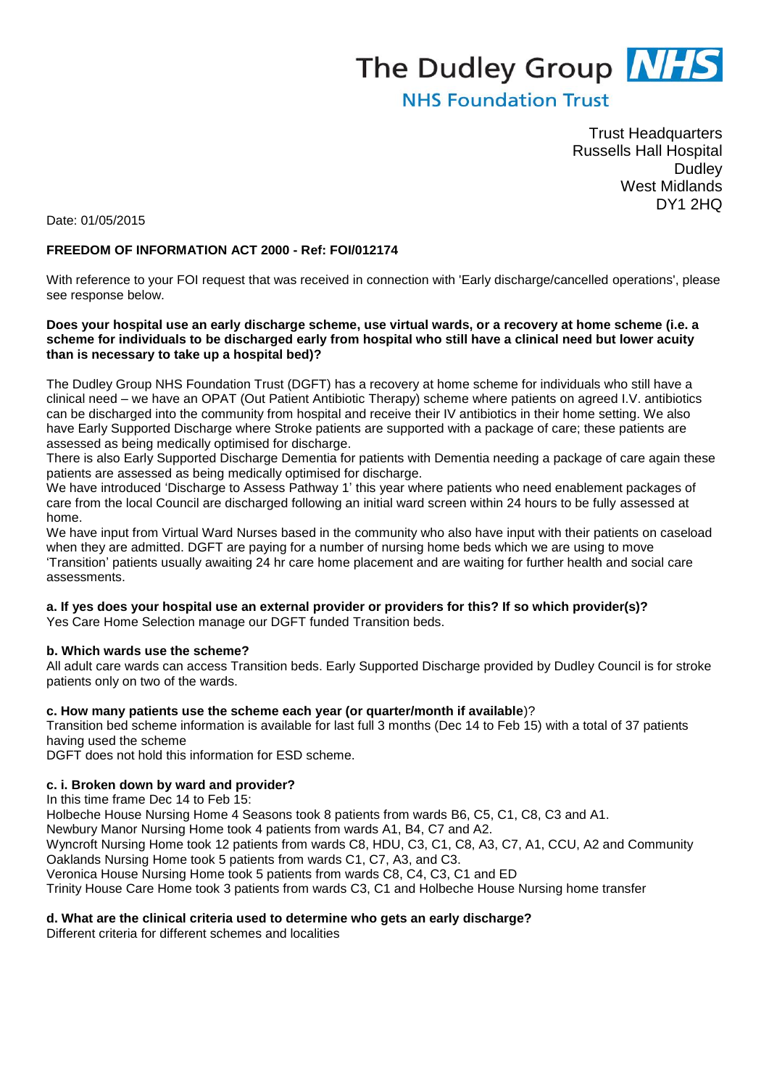# The Dudley Group **NHS**

# **NHS Foundation Trust**

Trust Headquarters Russells Hall Hospital **Dudley** West Midlands DY1 2HQ

Date: 01/05/2015

### **FREEDOM OF INFORMATION ACT 2000 - Ref: FOI/012174**

With reference to your FOI request that was received in connection with 'Early discharge/cancelled operations', please see response below.

#### **Does your hospital use an early discharge scheme, use virtual wards, or a recovery at home scheme (i.e. a scheme for individuals to be discharged early from hospital who still have a clinical need but lower acuity than is necessary to take up a hospital bed)?**

The Dudley Group NHS Foundation Trust (DGFT) has a recovery at home scheme for individuals who still have a clinical need – we have an OPAT (Out Patient Antibiotic Therapy) scheme where patients on agreed I.V. antibiotics can be discharged into the community from hospital and receive their IV antibiotics in their home setting. We also have Early Supported Discharge where Stroke patients are supported with a package of care; these patients are assessed as being medically optimised for discharge.

There is also Early Supported Discharge Dementia for patients with Dementia needing a package of care again these patients are assessed as being medically optimised for discharge.

We have introduced 'Discharge to Assess Pathway 1' this year where patients who need enablement packages of care from the local Council are discharged following an initial ward screen within 24 hours to be fully assessed at home.

We have input from Virtual Ward Nurses based in the community who also have input with their patients on caseload when they are admitted. DGFT are paying for a number of nursing home beds which we are using to move 'Transition' patients usually awaiting 24 hr care home placement and are waiting for further health and social care assessments.

**a. If yes does your hospital use an external provider or providers for this? If so which provider(s)?**

Yes Care Home Selection manage our DGFT funded Transition beds.

#### **b. Which wards use the scheme?**

All adult care wards can access Transition beds. Early Supported Discharge provided by Dudley Council is for stroke patients only on two of the wards.

#### **c. How many patients use the scheme each year (or quarter/month if available**)?

Transition bed scheme information is available for last full 3 months (Dec 14 to Feb 15) with a total of 37 patients having used the scheme

DGFT does not hold this information for ESD scheme.

#### **c. i. Broken down by ward and provider?**

In this time frame Dec 14 to Feb 15:

Holbeche House Nursing Home 4 Seasons took 8 patients from wards B6, C5, C1, C8, C3 and A1.

Newbury Manor Nursing Home took 4 patients from wards A1, B4, C7 and A2.

Wyncroft Nursing Home took 12 patients from wards C8, HDU, C3, C1, C8, A3, C7, A1, CCU, A2 and Community Oaklands Nursing Home took 5 patients from wards C1, C7, A3, and C3.

Veronica House Nursing Home took 5 patients from wards C8, C4, C3, C1 and ED

Trinity House Care Home took 3 patients from wards C3, C1 and Holbeche House Nursing home transfer

#### **d. What are the clinical criteria used to determine who gets an early discharge?**

Different criteria for different schemes and localities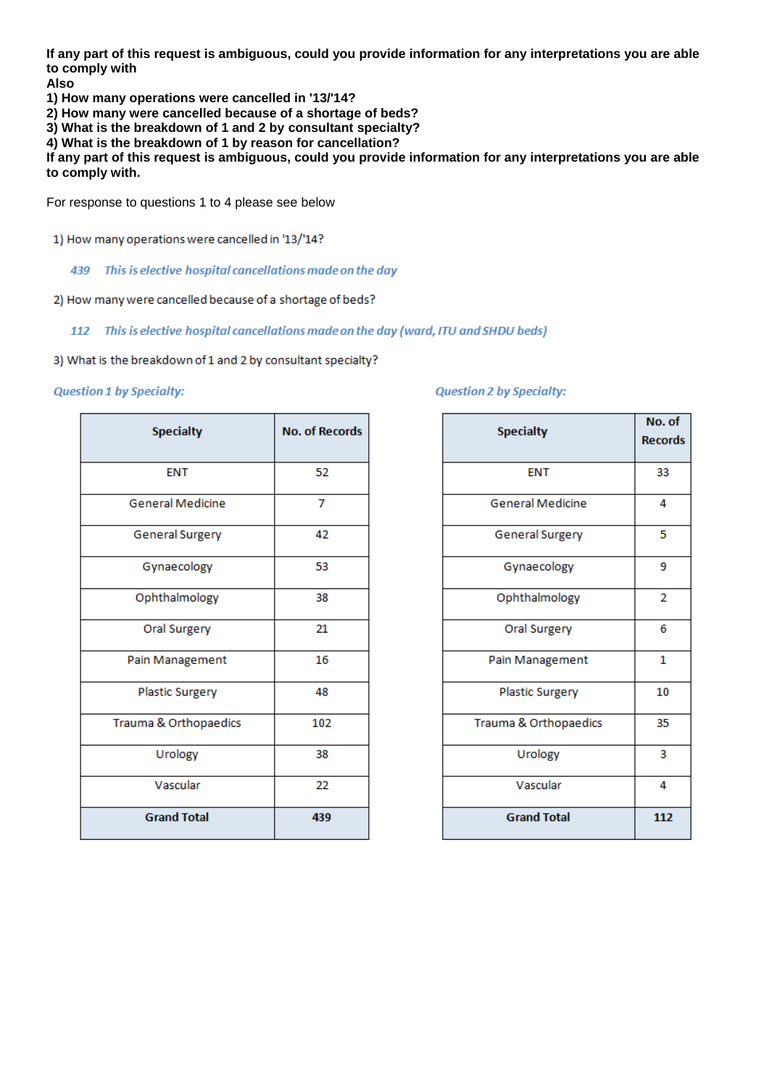**If any part of this request is ambiguous, could you provide information for any interpretations you are able to comply with**

**Also**

**1) How many operations were cancelled in '13/'14?**

**2) How many were cancelled because of a shortage of beds?**

**3) What is the breakdown of 1 and 2 by consultant specialty?**

**4) What is the breakdown of 1 by reason for cancellation?**

**If any part of this request is ambiguous, could you provide information for any interpretations you are able to comply with.**

For response to questions 1 to 4 please see below

- 1) How many operations were cancelled in '13/'14?
	- 439 This is elective hospital cancellations made on the day
- 2) How many were cancelled because of a shortage of beds?

#### 112 This is elective hospital cancellations made on the day (ward, ITU and SHDU beds)

3) What is the breakdown of 1 and 2 by consultant specialty?

#### **Question 1 by Specialty:**

| <b>Specialty</b>        | <b>No. of Records</b> |
|-------------------------|-----------------------|
| <b>ENT</b>              | 52                    |
| <b>General Medicine</b> | 7                     |
| <b>General Surgery</b>  | 42                    |
| Gynaecology             | 53                    |
| Ophthalmology           | 38                    |
| Oral Surgery            | 21                    |
| Pain Management         | 16                    |
| <b>Plastic Surgery</b>  | 48                    |
| Trauma & Orthopaedics   | 102                   |
| Urology                 | 38                    |
| Vascular                | 22                    |
| <b>Grand Total</b>      | 439                   |

#### **Question 2 by Specialty:**

| <b>Specialty</b>        | No. of<br><b>Records</b> |
|-------------------------|--------------------------|
| <b>ENT</b>              | 33                       |
| <b>General Medicine</b> | 4                        |
| General Surgery         | 5                        |
| Gynaecology             | 9                        |
| Ophthalmology           | $\overline{2}$           |
| Oral Surgery            | 6                        |
| Pain Management         | 1                        |
| Plastic Surgery         | 10                       |
| Trauma & Orthopaedics   | 35                       |
| Urology                 | 3                        |
| Vascular                | 4                        |
| <b>Grand Total</b>      | 112                      |